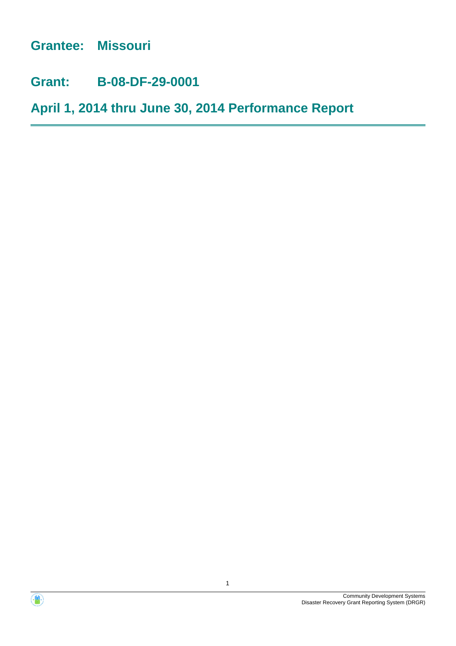**Grantee: Missouri**

**Grant: B-08-DF-29-0001**

**April 1, 2014 thru June 30, 2014 Performance Report**



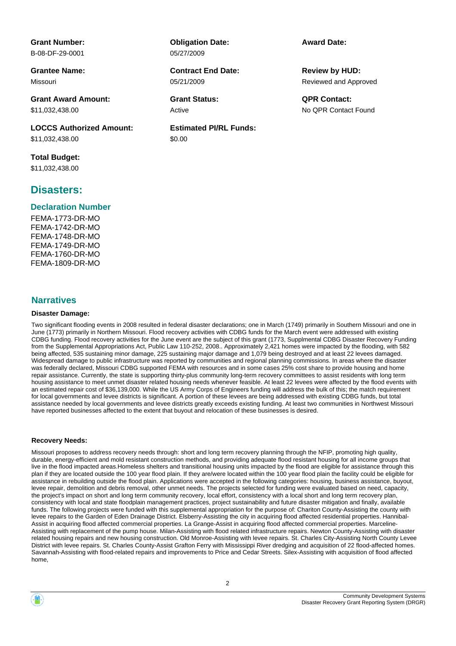**Grant Number:** B-08-DF-29-0001

**Grantee Name:** Missouri

**Grant Award Amount:** \$11,032,438.00

**LOCCS Authorized Amount:** \$11,032,438.00

**Total Budget:** \$11,032,438.00

### **Disasters:**

#### **Declaration Number**

FEMA-1773-DR-MO FEMA-1742-DR-MO FEMA-1748-DR-MO FEMA-1749-DR-MO FEMA-1760-DR-MO FEMA-1809-DR-MO

#### **Narratives**

#### **Disaster Damage:**

**Estimated PI/RL Funds:**

**Obligation Date:**

**Contract End Date:**

05/27/2009

05/21/2009

\$0.00

Active

**Award Date:**

Reviewed and Approved **Review by HUD:**

**Grant Status: QPR Contact:** No QPR Contact Found

Two significant flooding events in 2008 resulted in federal disaster declarations; one in March (1749) primarily in Southern Missouri and one in June (1773) primarily in Northern Missouri. Flood recovery activities with CDBG funds for the March event were addressed with existing CDBG funding. Flood recovery activities for the June event are the subject of this grant (1773, Supplmental CDBG Disaster Recovery Funding from the Supplemental Appropriations Act, Public Law 110-252, 2008.. Approximately 2,421 homes were impacted by the flooding, with 582 being affected, 535 sustaining minor damage, 225 sustaining major damage and 1,079 being destroyed and at least 22 levees damaged. Widespread damage to public infrastructure was reported by communities and regional planning commissions. In areas where the disaster was federally declared, Missouri CDBG supported FEMA with resources and in some cases 25% cost share to provide housing and home repair assistance. Currently, the state is supporting thirty-plus community long-term recovery committees to assist residents with long term housing assistance to meet unmet disaster related housing needs whenever feasible. At least 22 levees were affected by the flood events with an estimated repair cost of \$36,139,000. While the US Army Corps of Engineers funding will address the bulk of this; the match requirement for local governments and levee districts is significant. A portion of these levees are being addressed with existing CDBG funds, but total assistance needed by local governments and levee districts greatly exceeds existing funding. At least two communities in Northwest Missouri have reported businesses affected to the extent that buyout and relocation of these businesses is desired.

#### **Recovery Needs:**

Missouri proposes to address recovery needs through: short and long term recovery planning through the NFIP, promoting high quality, durable, energy-efficient and mold resistant construction methods, and providing adequate flood resistant housing for all income groups that live in the flood impacted areas.Homeless shelters and transitional housing units impacted by the flood are eligible for assistance through this plan if they are located outside the 100 year flood plain. If they are/were located within the 100 year flood plain the facility could be eligible for assistance in rebuilding outside the flood plain. Applications were accepted in the following categories: housing, business assistance, buyout, levee repair, demolition and debris removal, other unmet needs. The projects selected for funding were evaluated based on need, capacity, the project's impact on short and long term community recovery, local effort, consistency with a local short and long term recovery plan, consistency with local and state floodplain management practices, project sustainability and future disaster mitigation and finally, available funds. The following projects were funded with this supplemental appropriation for the purpose of: Chariton County-Assisting the county with levee repairs to the Garden of Eden Drainage District. Elsberry-Assisting the city in acquiring flood affected residential properties. Hannibal-Assist in acquiring flood affected commercial properties. La Grange-Assist in acquiring flood affected commercial properties. Marceline-Assisting with replacement of the pump house. Milan-Assisting with flood related infrastructure repairs. Newton County-Assisting with disaster related housing repairs and new housing construction. Old Monroe-Assisting with levee repairs. St. Charles City-Assisting North County Levee District with levee repairs. St. Charles County-Assist Grafton Ferry with Mississippi River dredging and acquisition of 22 flood-affected homes. Savannah-Assisting with flood-related repairs and improvements to Price and Cedar Streets. Silex-Assisting with acquisition of flood affected home,

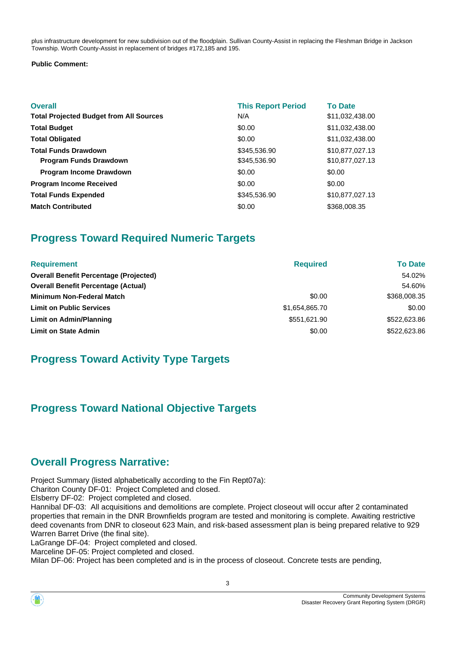plus infrastructure development for new subdivision out of the floodplain. Sullivan County-Assist in replacing the Fleshman Bridge in Jackson Township. Worth County-Assist in replacement of bridges #172,185 and 195.

#### **Public Comment:**

| <b>Overall</b><br><b>Total Projected Budget from All Sources</b> | <b>This Report Period</b><br>N/A | <b>To Date</b><br>\$11,032,438.00 |
|------------------------------------------------------------------|----------------------------------|-----------------------------------|
| <b>Total Budget</b>                                              | \$0.00                           | \$11,032,438.00                   |
| <b>Total Obligated</b>                                           | \$0.00                           | \$11,032,438.00                   |
| <b>Total Funds Drawdown</b>                                      | \$345,536.90                     | \$10,877,027.13                   |
| <b>Program Funds Drawdown</b>                                    | \$345,536.90                     | \$10,877,027.13                   |
| <b>Program Income Drawdown</b>                                   | \$0.00                           | \$0.00                            |
| <b>Program Income Received</b>                                   | \$0.00                           | \$0.00                            |
| <b>Total Funds Expended</b>                                      | \$345,536.90                     | \$10,877,027.13                   |
| <b>Match Contributed</b>                                         | \$0.00                           | \$368,008.35                      |

# **Progress Toward Required Numeric Targets**

| <b>Requirement</b>                            | <b>Required</b> | <b>To Date</b> |
|-----------------------------------------------|-----------------|----------------|
| <b>Overall Benefit Percentage (Projected)</b> |                 | 54.02%         |
| <b>Overall Benefit Percentage (Actual)</b>    |                 | 54.60%         |
| <b>Minimum Non-Federal Match</b>              | \$0.00          | \$368,008.35   |
| <b>Limit on Public Services</b>               | \$1,654,865.70  | \$0.00         |
| Limit on Admin/Planning                       | \$551,621.90    | \$522,623.86   |
| <b>Limit on State Admin</b>                   | \$0.00          | \$522,623,86   |

# **Progress Toward Activity Type Targets**

# **Progress Toward National Objective Targets**

# **Overall Progress Narrative:**

Project Summary (listed alphabetically according to the Fin Rept07a):

Chariton County DF-01: Project Completed and closed.

Elsberry DF-02: Project completed and closed.

Hannibal DF-03: All acquisitions and demolitions are complete. Project closeout will occur after 2 contaminated properties that remain in the DNR Brownfields program are tested and monitoring is complete. Awaiting restrictive deed covenants from DNR to closeout 623 Main, and risk-based assessment plan is being prepared relative to 929 Warren Barret Drive (the final site).

LaGrange DF-04: Project completed and closed.

Marceline DF-05: Project completed and closed.

Milan DF-06: Project has been completed and is in the process of closeout. Concrete tests are pending,

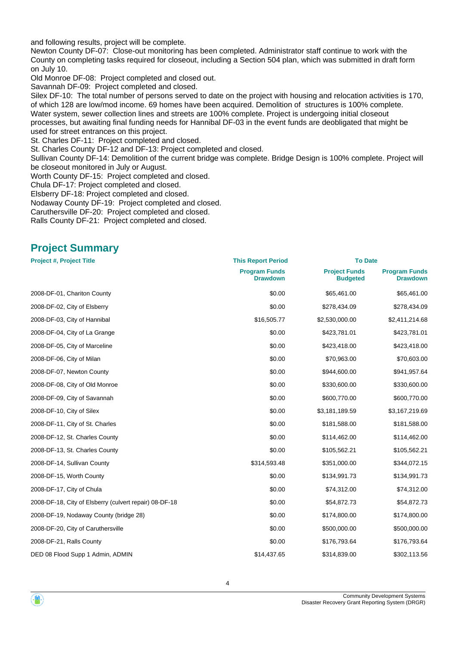and following results, project will be complete.

Newton County DF-07: Close-out monitoring has been completed. Administrator staff continue to work with the County on completing tasks required for closeout, including a Section 504 plan, which was submitted in draft form on July 10.

Old Monroe DF-08: Project completed and closed out.

Savannah DF-09: Project completed and closed.

Silex DF-10: The total number of persons served to date on the project with housing and relocation activities is 170, of which 128 are low/mod income. 69 homes have been acquired. Demolition of structures is 100% complete. Water system, sewer collection lines and streets are 100% complete. Project is undergoing initial closeout processes, but awaiting final funding needs for Hannibal DF-03 in the event funds are deobligated that might be used for street entrances on this project.

St. Charles DF-11: Project completed and closed.

St. Charles County DF-12 and DF-13: Project completed and closed.

Sullivan County DF-14: Demolition of the current bridge was complete. Bridge Design is 100% complete. Project will be closeout monitored in July or August.

Worth County DF-15: Project completed and closed.

Chula DF-17: Project completed and closed.

Elsberry DF-18: Project completed and closed.

Nodaway County DF-19: Project completed and closed.

Caruthersville DF-20: Project completed and closed.

Ralls County DF-21: Project completed and closed.

### **Project Summary**

| <b>Project #, Project Title</b>                        | <b>This Report Period</b>               | <b>To Date</b>                          |                                         |
|--------------------------------------------------------|-----------------------------------------|-----------------------------------------|-----------------------------------------|
|                                                        | <b>Program Funds</b><br><b>Drawdown</b> | <b>Project Funds</b><br><b>Budgeted</b> | <b>Program Funds</b><br><b>Drawdown</b> |
| 2008-DF-01, Chariton County                            | \$0.00                                  | \$65,461.00                             | \$65,461.00                             |
| 2008-DF-02, City of Elsberry                           | \$0.00                                  | \$278,434.09                            | \$278,434.09                            |
| 2008-DF-03, City of Hannibal                           | \$16,505.77                             | \$2,530,000.00                          | \$2,411,214.68                          |
| 2008-DF-04, City of La Grange                          | \$0.00                                  | \$423,781.01                            | \$423,781.01                            |
| 2008-DF-05, City of Marceline                          | \$0.00                                  | \$423,418.00                            | \$423,418.00                            |
| 2008-DF-06, City of Milan                              | \$0.00                                  | \$70,963.00                             | \$70,603.00                             |
| 2008-DF-07, Newton County                              | \$0.00                                  | \$944,600.00                            | \$941,957.64                            |
| 2008-DF-08, City of Old Monroe                         | \$0.00                                  | \$330,600.00                            | \$330,600.00                            |
| 2008-DF-09, City of Savannah                           | \$0.00                                  | \$600,770.00                            | \$600,770.00                            |
| 2008-DF-10, City of Silex                              | \$0.00                                  | \$3,181,189.59                          | \$3,167,219.69                          |
| 2008-DF-11, City of St. Charles                        | \$0.00                                  | \$181,588.00                            | \$181,588.00                            |
| 2008-DF-12, St. Charles County                         | \$0.00                                  | \$114,462.00                            | \$114,462.00                            |
| 2008-DF-13, St. Charles County                         | \$0.00                                  | \$105,562.21                            | \$105,562.21                            |
| 2008-DF-14, Sullivan County                            | \$314,593.48                            | \$351,000.00                            | \$344,072.15                            |
| 2008-DF-15, Worth County                               | \$0.00                                  | \$134,991.73                            | \$134,991.73                            |
| 2008-DF-17, City of Chula                              | \$0.00                                  | \$74,312.00                             | \$74,312.00                             |
| 2008-DF-18, City of Elsberry (culvert repair) 08-DF-18 | \$0.00                                  | \$54,872.73                             | \$54,872.73                             |
| 2008-DF-19, Nodaway County (bridge 28)                 | \$0.00                                  | \$174,800.00                            | \$174,800.00                            |
| 2008-DF-20, City of Caruthersville                     | \$0.00                                  | \$500,000.00                            | \$500,000.00                            |
| 2008-DF-21, Ralls County                               | \$0.00                                  | \$176,793.64                            | \$176,793.64                            |
| DED 08 Flood Supp 1 Admin, ADMIN                       | \$14,437.65                             | \$314,839.00                            | \$302,113.56                            |

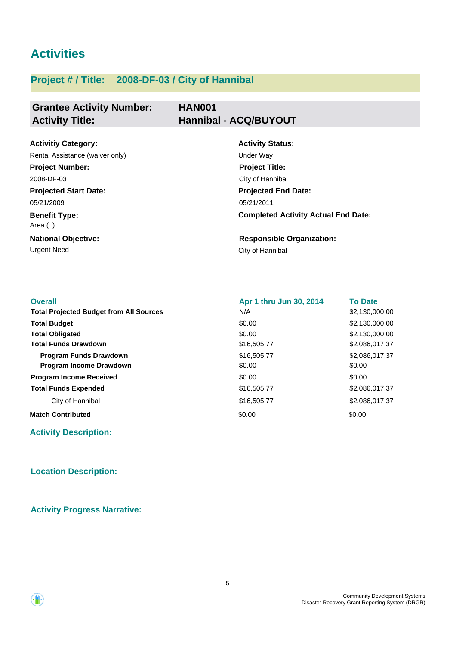# **Activities**

# **Project # / Title: 2008-DF-03 / City of Hannibal**

## **Grantee Activity Number: Activity Title: Hannibal - ACQ/BUYOUT**

# **HAN001**

| <b>Activitiy Category:</b>      | <b>Activity Status:</b>                    |
|---------------------------------|--------------------------------------------|
| Rental Assistance (waiver only) | Under Way                                  |
| <b>Project Number:</b>          | <b>Project Title:</b>                      |
| 2008-DF-03                      | City of Hannibal                           |
| <b>Projected Start Date:</b>    | <b>Projected End Date:</b>                 |
| 05/21/2009                      | 05/21/2011                                 |
| <b>Benefit Type:</b><br>Area () | <b>Completed Activity Actual End Date:</b> |
| <b>National Objective:</b>      | <b>Responsible Organization:</b>           |
| <b>Urgent Need</b>              | City of Hannibal                           |

| <b>Overall</b>                                 | Apr 1 thru Jun 30, 2014 | <b>To Date</b> |
|------------------------------------------------|-------------------------|----------------|
| <b>Total Projected Budget from All Sources</b> | N/A                     | \$2,130,000.00 |
| <b>Total Budget</b>                            | \$0.00                  | \$2,130,000.00 |
| <b>Total Obligated</b>                         | \$0.00                  | \$2,130,000.00 |
| <b>Total Funds Drawdown</b>                    | \$16,505.77             | \$2,086,017.37 |
| <b>Program Funds Drawdown</b>                  | \$16,505.77             | \$2,086,017.37 |
| <b>Program Income Drawdown</b>                 | \$0.00                  | \$0.00         |
| <b>Program Income Received</b>                 | \$0.00                  | \$0.00         |
| <b>Total Funds Expended</b>                    | \$16,505.77             | \$2,086,017.37 |
| City of Hannibal                               | \$16,505.77             | \$2,086,017.37 |
| <b>Match Contributed</b>                       | \$0.00                  | \$0.00         |

**Activity Description:**

#### **Location Description:**

**Activity Progress Narrative:**



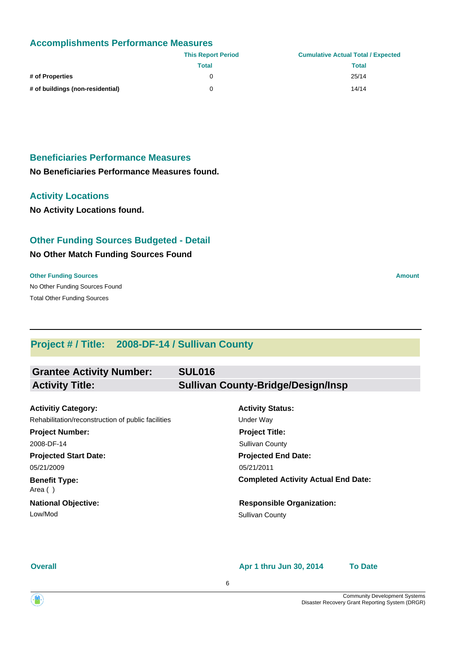#### **Accomplishments Performance Measures**

|                                  | <b>This Report Period</b> | <b>Cumulative Actual Total / Expected</b> |
|----------------------------------|---------------------------|-------------------------------------------|
|                                  | Total                     | <b>Total</b>                              |
| # of Properties                  |                           | 25/14                                     |
| # of buildings (non-residential) |                           | 14/14                                     |

### **Beneficiaries Performance Measures**

**No Beneficiaries Performance Measures found.**

#### **Activity Locations**

**No Activity Locations found.**

#### **Other Funding Sources Budgeted - Detail**

#### **No Other Match Funding Sources Found**

#### **Other Funding Sources Amount Amount Amount Amount Amount Amount Amount**

No Other Funding Sources Found Total Other Funding Sources

# **Project # / Title: 2008-DF-14 / Sullivan County**

| <b>Grantee Activity Number:</b> | <b>SUL016</b>                             |
|---------------------------------|-------------------------------------------|
| <b>Activity Title:</b>          | <b>Sullivan County-Bridge/Design/Insp</b> |
|                                 |                                           |
| <b>Activitiy Category:</b>      | <b>Activity Status:</b>                   |

**Projected Start Date: Benefit Type: National Objective:** 05/21/2009 Area ( ) Rehabilitation/reconstruction of public facilities Under Way **Project Number:** 2008-DF-14

Low/Mod Sullivan County

# **Projected End Date: Completed Activity Actual End Date:** 05/21/2011 **Project Title:** Sullivan County

**Responsible Organization:**

**Overall**

#### **Apr 1 thru Jun 30, 2014 To Date**

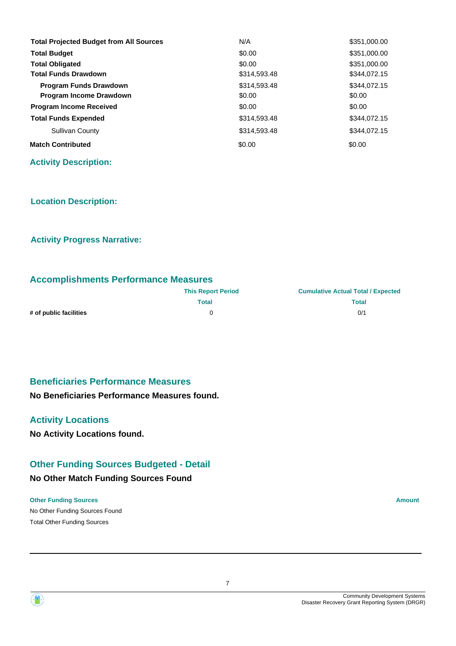| <b>Total Projected Budget from All Sources</b> | N/A          | \$351,000.00 |
|------------------------------------------------|--------------|--------------|
| <b>Total Budget</b>                            | \$0.00       | \$351,000.00 |
| <b>Total Obligated</b>                         | \$0.00       | \$351,000.00 |
| <b>Total Funds Drawdown</b>                    | \$314,593.48 | \$344,072.15 |
| <b>Program Funds Drawdown</b>                  | \$314,593.48 | \$344.072.15 |
| <b>Program Income Drawdown</b>                 | \$0.00       | \$0.00       |
| <b>Program Income Received</b>                 | \$0.00       | \$0.00       |
| <b>Total Funds Expended</b>                    | \$314,593.48 | \$344,072.15 |
| Sullivan County                                | \$314,593.48 | \$344.072.15 |
| <b>Match Contributed</b>                       | \$0.00       | \$0.00       |

**Activity Description:**

#### **Location Description:**

#### **Activity Progress Narrative:**

#### **Accomplishments Performance Measures**

|                        | <b>This Report Period</b> | <b>Cumulative Actual Total / Expected</b> |
|------------------------|---------------------------|-------------------------------------------|
|                        | Total                     | <b>Total</b>                              |
| # of public facilities |                           | 0/1                                       |

#### **Beneficiaries Performance Measures**

#### **No Beneficiaries Performance Measures found.**

#### **Activity Locations**

**No Activity Locations found.**

#### **Other Funding Sources Budgeted - Detail**

#### **No Other Match Funding Sources Found**

#### **Other Funding Sources Amount Amount Amount Amount Amount Amount Amount**

No Other Funding Sources Found Total Other Funding Sources



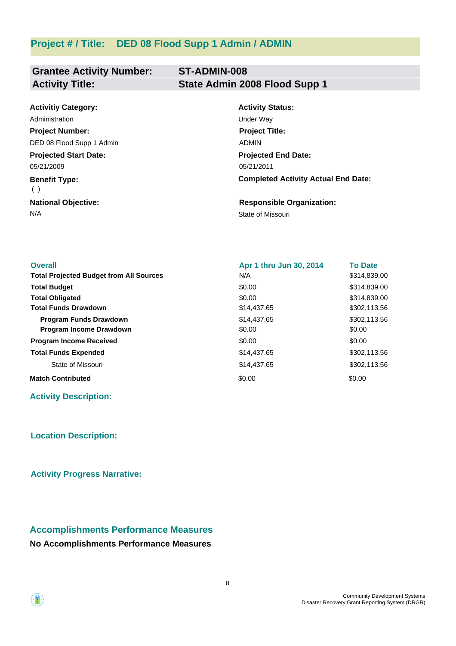# **Project # / Title: DED 08 Flood Supp 1 Admin / ADMIN**

#### **Grantee Activity Number: ST-ADMIN-008 Activity Title: State Admin 2008 Flood Supp 1**

| <b>Activitiy Category:</b>   | <b>Activity Status:</b>                    |
|------------------------------|--------------------------------------------|
| Administration               | Under Way                                  |
| <b>Project Number:</b>       | <b>Project Title:</b>                      |
| DED 08 Flood Supp 1 Admin    | <b>ADMIN</b>                               |
| <b>Projected Start Date:</b> | <b>Projected End Date:</b>                 |
| 05/21/2009                   | 05/21/2011                                 |
| <b>Benefit Type:</b><br>( )  | <b>Completed Activity Actual End Date:</b> |
| <b>National Objective:</b>   | <b>Responsible Organization:</b>           |
| N/A                          | State of Missouri                          |

| <b>Overall</b>                                 | Apr 1 thru Jun 30, 2014 | <b>To Date</b> |
|------------------------------------------------|-------------------------|----------------|
| <b>Total Projected Budget from All Sources</b> | N/A                     | \$314,839.00   |
| <b>Total Budget</b>                            | \$0.00                  | \$314,839.00   |
| <b>Total Obligated</b>                         | \$0.00                  | \$314,839.00   |
| <b>Total Funds Drawdown</b>                    | \$14,437.65             | \$302,113.56   |
| <b>Program Funds Drawdown</b>                  | \$14,437.65             | \$302,113.56   |
| <b>Program Income Drawdown</b>                 | \$0.00                  | \$0.00         |
| <b>Program Income Received</b>                 | \$0.00                  | \$0.00         |
| <b>Total Funds Expended</b>                    | \$14,437.65             | \$302,113.56   |
| State of Missouri                              | \$14,437.65             | \$302,113.56   |
| <b>Match Contributed</b>                       | \$0.00                  | \$0.00         |

#### **Activity Description:**

#### **Location Description:**

**Activity Progress Narrative:**

# **Accomplishments Performance Measures**

#### **No Accomplishments Performance Measures**